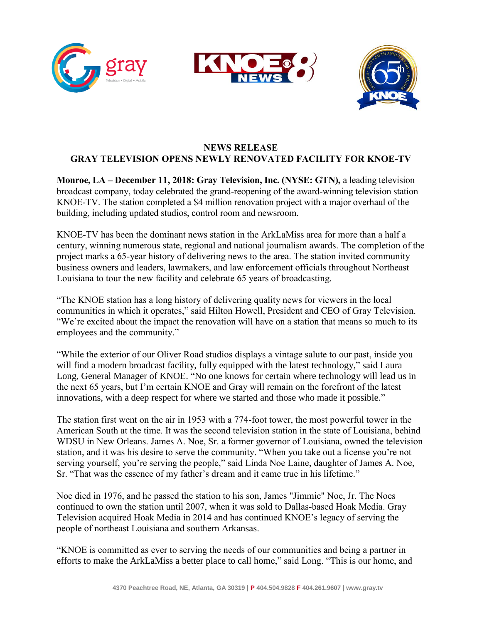



## **NEWS RELEASE GRAY TELEVISION OPENS NEWLY RENOVATED FACILITY FOR KNOE-TV**

**Monroe, LA – December 11, 2018: Gray Television, Inc. (NYSE: GTN),** a leading television broadcast company, today celebrated the grand-reopening of the award-winning television station KNOE-TV. The station completed a \$4 million renovation project with a major overhaul of the building, including updated studios, control room and newsroom.

KNOE-TV has been the dominant news station in the ArkLaMiss area for more than a half a century, winning numerous state, regional and national journalism awards. The completion of the project marks a 65-year history of delivering news to the area. The station invited community business owners and leaders, lawmakers, and law enforcement officials throughout Northeast Louisiana to tour the new facility and celebrate 65 years of broadcasting.

"The KNOE station has a long history of delivering quality news for viewers in the local communities in which it operates," said Hilton Howell, President and CEO of Gray Television. "We're excited about the impact the renovation will have on a station that means so much to its employees and the community."

"While the exterior of our Oliver Road studios displays a vintage salute to our past, inside you will find a modern broadcast facility, fully equipped with the latest technology," said Laura Long, General Manager of KNOE. "No one knows for certain where technology will lead us in the next 65 years, but I'm certain KNOE and Gray will remain on the forefront of the latest innovations, with a deep respect for where we started and those who made it possible."

The station first went on the air in 1953 with a 774-foot tower, the most powerful tower in the American South at the time. It was the second television station in the state of Louisiana, behind WDSU in New Orleans. James A. Noe, Sr. a former governor of Louisiana, owned the television station, and it was his desire to serve the community. "When you take out a license you're not serving yourself, you're serving the people," said Linda Noe Laine, daughter of James A. Noe, Sr. "That was the essence of my father's dream and it came true in his lifetime."

Noe died in 1976, and he passed the station to his son, James "Jimmie" Noe, Jr. The Noes continued to own the station until 2007, when it was sold to Dallas-based Hoak Media. Gray Television acquired Hoak Media in 2014 and has continued KNOE's legacy of serving the people of northeast Louisiana and southern Arkansas.

"KNOE is committed as ever to serving the needs of our communities and being a partner in efforts to make the ArkLaMiss a better place to call home," said Long. "This is our home, and